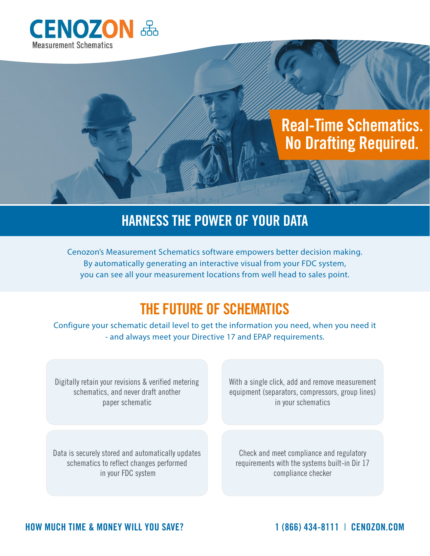

# **Real-Time Schematics. No Drafting Required.**

#### **HARNESS THE POWER OF YOUR DATA**

Cenozon's Measurement Schematics software empowers better decision making. By automatically generating an interactive visual from your FDC system, you can see all your measurement locations from well head to sales point.

## **THE FUTURE OF SCHEMATICS**

Configure your schematic detail level to get the information you need, when you need it - and always meet your Directive 17 and EPAP requirements.

Digitally retain your revisions & verified metering schematics, and never draft another paper schematic

With a single click, add and remove measurement equipment (separators, compressors, group lines) in your schematics

Data is securely stored and automatically updates schematics to reflect changes performed in your FDC system

Check and meet compliance and regulatory requirements with the systems built-in Dir 17 compliance checker

**HOW MUCH TIME & MONEY WILL YOU SAVE? 1 (866) 434-8111** | **CENOZON.COM**